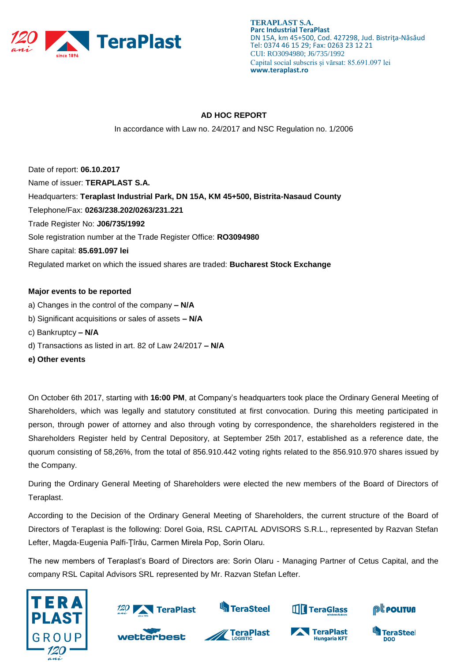

## **AD HOC REPORT**

In accordance with Law no. 24/2017 and NSC Regulation no. 1/2006

Date of report: **06.10.2017** Name of issuer: **TERAPLAST S.A.**  Headquarters: **Teraplast Industrial Park, DN 15A, KM 45+500, Bistrita-Nasaud County**  Telephone/Fax: **0263/238.202/0263/231.221**  Trade Register No: **J06/735/1992**  Sole registration number at the Trade Register Office: **RO3094980**  Share capital: **85.691.097 lei** Regulated market on which the issued shares are traded: **Bucharest Stock Exchange** 

#### **Major events to be reported**

- a) Changes in the control of the company **– N/A**
- b) Significant acquisitions or sales of assets **– N/A**
- c) Bankruptcy **– N/A**
- d) Transactions as listed in art. 82 of Law 24/2017 **– N/A**
- **e) Other events**

On October 6th 2017, starting with **16:00 PM**, at Company's headquarters took place the Ordinary General Meeting of Shareholders, which was legally and statutory constituted at first convocation. During this meeting participated in person, through power of attorney and also through voting by correspondence, the shareholders registered in the Shareholders Register held by Central Depository, at September 25th 2017, established as a reference date, the quorum consisting of 58,26%, from the total of 856.910.442 voting rights related to the 856.910.970 shares issued by the Company.

During the Ordinary General Meeting of Shareholders were elected the new members of the Board of Directors of Teraplast.

According to the Decision of the Ordinary General Meeting of Shareholders, the current structure of the Board of Directors of Teraplast is the following: Dorel Goia, RSL CAPITAL ADVISORS S.R.L., represented by Razvan Stefan Lefter, Magda-Eugenia Palfi-Ţîrău, Carmen Mirela Pop, Sorin Olaru.

The new members of Teraplast's Board of Directors are: Sorin Olaru - Managing Partner of Cetus Capital, and the company RSL Capital Advisors SRL represented by Mr. Razvan Stefan Lefter.





wetterbest



**S**TeraSteel



**THE TeraGlass** 



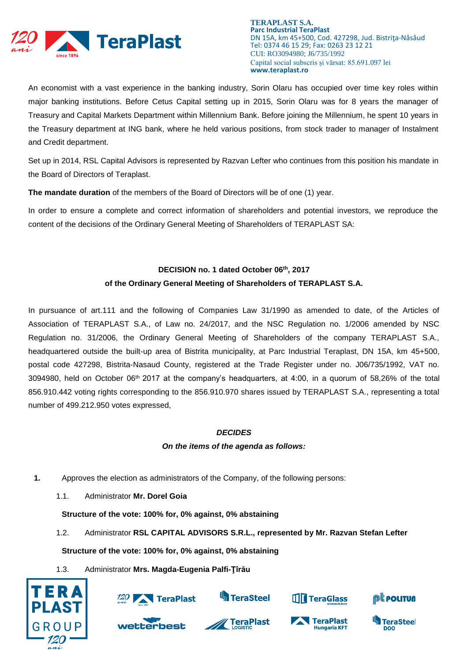

An economist with a vast experience in the banking industry, Sorin Olaru has occupied over time key roles within major banking institutions. Before Cetus Capital setting up in 2015, Sorin Olaru was for 8 years the manager of Treasury and Capital Markets Department within Millennium Bank. Before joining the Millennium, he spent 10 years in the Treasury department at ING bank, where he held various positions, from stock trader to manager of Instalment and Credit department.

Set up in 2014, RSL Capital Advisors is represented by Razvan Lefter who continues from this position his mandate in the Board of Directors of Teraplast.

**The mandate duration** of the members of the Board of Directors will be of one (1) year.

In order to ensure a complete and correct information of shareholders and potential investors, we reproduce the content of the decisions of the Ordinary General Meeting of Shareholders of TERAPLAST SA:

# **DECISION no. 1 dated October 06th, 2017**

## **of the Ordinary General Meeting of Shareholders of TERAPLAST S.A.**

In pursuance of art.111 and the following of Companies Law 31/1990 as amended to date, of the Articles of Association of TERAPLAST S.A., of Law no. 24/2017, and the NSC Regulation no. 1/2006 amended by NSC Regulation no. 31/2006, the Ordinary General Meeting of Shareholders of the company TERAPLAST S.A., headquartered outside the built-up area of Bistrita municipality, at Parc Industrial Teraplast, DN 15A, km 45+500, postal code 427298, Bistrita-Nasaud County, registered at the Trade Register under no. J06/735/1992, VAT no. 3094980, held on October 06th 2017 at the company's headquarters, at 4:00, in a quorum of 58,26% of the total 856.910.442 voting rights corresponding to the 856.910.970 shares issued by TERAPLAST S.A., representing a total number of 499.212.950 votes expressed,

## *DECIDES*

## *On the items of the agenda as follows:*

- **1.** Approves the election as administrators of the Company, of the following persons:
	- 1.1. Administrator **Mr. Dorel Goia**

**Structure of the vote: 100% for, 0% against, 0% abstaining**

1.2. Administrator **RSL CAPITAL ADVISORS S.R.L., represented by Mr. Razvan Stefan Lefter**

**Structure of the vote: 100% for, 0% against, 0% abstaining**

1.3. Administrator **Mrs. Magda-Eugenia Palfi-Ţîrău**

wetterbest











**Hungaria KFT** 

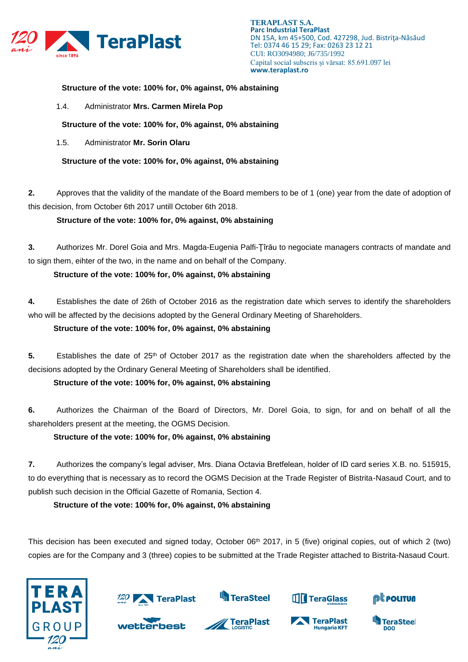

#### **Structure of the vote: 100% for, 0% against, 0% abstaining**

1.4. Administrator **Mrs. Carmen Mirela Pop**

**Structure of the vote: 100% for, 0% against, 0% abstaining**

1.5. Administrator **Mr. Sorin Olaru**

**Structure of the vote: 100% for, 0% against, 0% abstaining**

**2.** Approves that the validity of the mandate of the Board members to be of 1 (one) year from the date of adoption of this decision, from October 6th 2017 untill October 6th 2018.

**Structure of the vote: 100% for, 0% against, 0% abstaining**

**3.** Authorizes Mr. Dorel Goia and Mrs. Magda-Eugenia Palfi-Ţîrău to negociate managers contracts of mandate and to sign them, eihter of the two, in the name and on behalf of the Company.

**Structure of the vote: 100% for, 0% against, 0% abstaining**

**4.** Establishes the date of 26th of October 2016 as the registration date which serves to identify the shareholders who will be affected by the decisions adopted by the General Ordinary Meeting of Shareholders.

**Structure of the vote: 100% for, 0% against, 0% abstaining**

5. Establishes the date of 25<sup>th</sup> of October 2017 as the registration date when the shareholders affected by the decisions adopted by the Ordinary General Meeting of Shareholders shall be identified.

**Structure of the vote: 100% for, 0% against, 0% abstaining**

**6.** Authorizes the Chairman of the Board of Directors, Mr. Dorel Goia, to sign, for and on behalf of all the shareholders present at the meeting, the OGMS Decision.

**Structure of the vote: 100% for, 0% against, 0% abstaining**

**7.** Authorizes the company's legal adviser, Mrs. Diana Octavia Bretfelean, holder of ID card series X.B. no. 515915, to do everything that is necessary as to record the OGMS Decision at the Trade Register of Bistrita-Nasaud Court, and to publish such decision in the Official Gazette of Romania, Section 4.

**Structure of the vote: 100% for, 0% against, 0% abstaining**

This decision has been executed and signed today, October 06<sup>th</sup> 2017, in 5 (five) original copies, out of which 2 (two) copies are for the Company and 3 (three) copies to be submitted at the Trade Register attached to Bistrita-Nasaud Court.

**TeraPlast** 





wetterbest